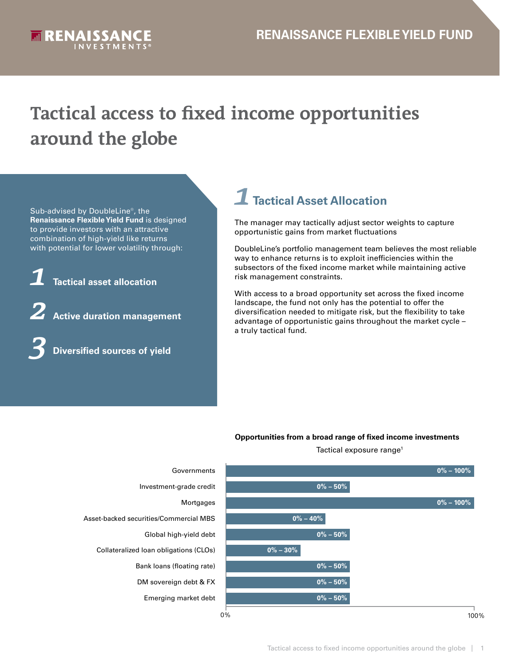<span id="page-0-0"></span>

# **Tactical access to fixed income opportunities around the globe**

Sub-advised by DoubleLine®, the **Renaissance Flexible Yield Fund** is designed to provide investors with an attractive combination of high-yield like returns with potential for lower volatility through:

*1* **Tactical asset allocation**

*2* **Active duration management**

*3* **Diversified sources of yield**

## *1* **Tactical Asset Allocation**

The manager may tactically adjust sector weights to capture opportunistic gains from market fluctuations

DoubleLine's portfolio management team believes the most reliable way to enhance returns is to exploit inefficiencies within the subsectors of the fixed income market while maintaining active risk management constraints.

With access to a broad opportunity set across the fixed income landscape, the fund not only has the potential to offer the diversification needed to mitigate risk, but the flexibility to take advantage of opportunistic gains throughout the market cycle – a truly tactical fund.

#### **Opportunities from a broad range of fixed income investments**

Tactical exposure range<sup>[1](#page-3-0)</sup>





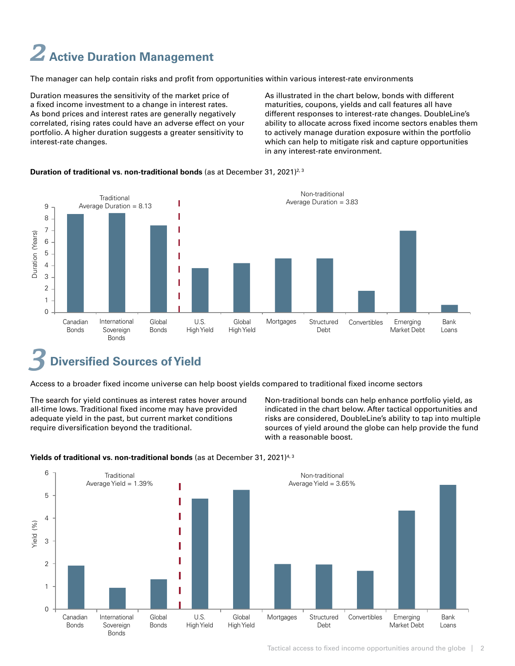# <span id="page-1-0"></span>*2* **Active Duration Management**

The manager can help contain risks and profit from opportunities within various interest-rate environments

Duration measures the sensitivity of the market price of a fixed income investment to a change in interest rates. As bond prices and interest rates are generally negatively correlated, rising rates could have an adverse effect on your portfolio. A higher duration suggests a greater sensitivity to interest-rate changes.

As illustrated in the chart below, bonds with different maturities, coupons, yields and call features all have different responses to interest-rate changes. DoubleLine's ability to allocate across fixed income sectors enables them to actively manage duration exposure within the portfolio which can help to mitigate risk and capture opportunities in any interest-rate environment.

## **Duration of traditional vs. non-traditional bonds** (as at December 31, 2021)2[, 3](#page-3-0)



## **Diversified Sources of Yield**

Access to a broader fixed income universe can help boost yields compared to traditional fixed income sectors

The search for yield continues as interest rates hover around all-time lows. Traditional fixed income may have provided adequate yield in the past, but current market conditions require diversification beyond the traditional.

Non-traditional bonds can help enhance portfolio yield, as indicated in the chart below. After tactical opportunities and risks are considered, DoubleLine's ability to tap into multiple sources of yield around the globe can help provide the fund with a reasonable boost.



#### **Yields of traditional vs. non-traditional bonds** (as at December 31, 2021)4[, 3](#page-3-0)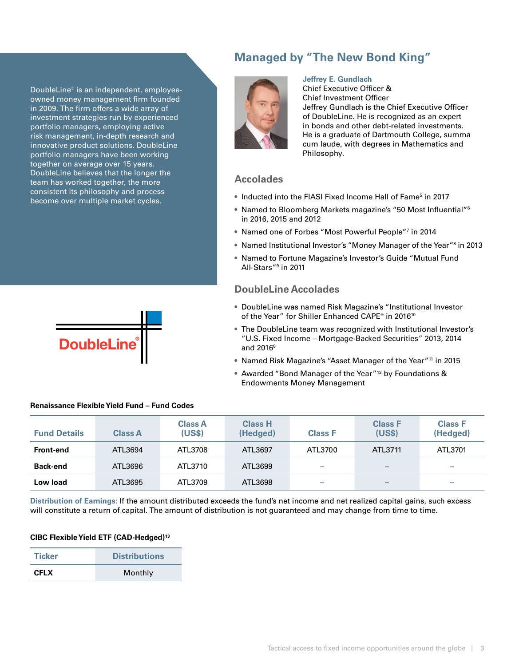## <span id="page-2-0"></span>DoubleLine® is an independent, employeeowned money management firm founded in 2009. The firm offers a wide array of investment strategies run by experienced portfolio managers, employing active

risk management, in-depth research and innovative product solutions. DoubleLine portfolio managers have been working together on average over 15 years. DoubleLine believes that the longer the team has worked together, the more consistent its philosophy and process become over multiple market cycles.



## **Managed by "The New Bond King"**



#### **Jeffrey E. Gundlach**

Chief Executive Officer & Chief Investment Officer Jeffrey Gundlach is the Chief Executive Officer of DoubleLine. He is recognized as an expert in bonds and other debt-related investments. He is a graduate of Dartmouth College, summa cum laude, with degrees in Mathematics and Philosophy.

### **Accolades**

- Inducted into the FIASI Fixed Income Hall of Fame<sup>[5](#page-3-0)</sup> in 2017
- Named to Bloomberg Markets magazine's "50 Most Influential"[6](#page-3-0) in 2016, 2015 and 2012
- Named one of Forbes "Most Powerful People"[7](#page-3-0) in 2014
- Named Institutional Investor's "Money Manager of the Year"<sup>[8](#page-3-0)</sup> in 2013
- Named to Fortune Magazine's Investor's Guide "Mutual Fund All-Stars"[9](#page-3-0) in 2011

### **DoubleLine Accolades**

- DoubleLine was named Risk Magazine's "Institutional Investor of the Year" for Shiller Enhanced CAPE® in 2016<sup>[10](#page-3-0)</sup>
- The DoubleLine team was recognized with Institutional Investor's "U.S. Fixed Income – Mortgage-Backed Securities" 2013, 2014 and 2016<sup>8</sup>
- Named Risk Magazine's "Asset Manager of the Year"<sup>[11](#page-3-0)</sup> in 2015
- Awarded "Bond Manager of the Year"[12](#page-3-0) by Foundations & Endowments Money Management

| <b>Fund Details</b> | <b>Class A</b> | <b>Class A</b><br>(US\$) | <b>Class H</b><br>(Hedged) | <b>Class F</b> | <b>Class F</b><br>(US\$) | <b>Class F</b><br>(Hedged) |
|---------------------|----------------|--------------------------|----------------------------|----------------|--------------------------|----------------------------|
| Front-end           | ATL3694        | ATL3708                  | ATL3697                    | ATL3700        | ATL3711                  | ATL3701                    |
| <b>Back-end</b>     | ATL3696        | ATL3710                  | ATL3699                    | -              | $\overline{\phantom{0}}$ | $\overline{\phantom{0}}$   |
| Low load            | ATL3695        | ATL3709                  | ATL3698                    | -              | $\overline{\phantom{m}}$ | -                          |

#### **Renaissance Flexible Yield Fund – Fund Codes**

**Distribution of Earnings:** If the amount distributed exceeds the fund's net income and net realized capital gains, such excess will constitute a return of capital. The amount of distribution is not guaranteed and may change from time to time.

#### **CIBC FlexibleYield ETF (CAD-Hedged)[13](#page-3-0)**

| <b>Ticker</b> | <b>Distributions</b> |  |  |
|---------------|----------------------|--|--|
| <b>CFLX</b>   | Monthly              |  |  |